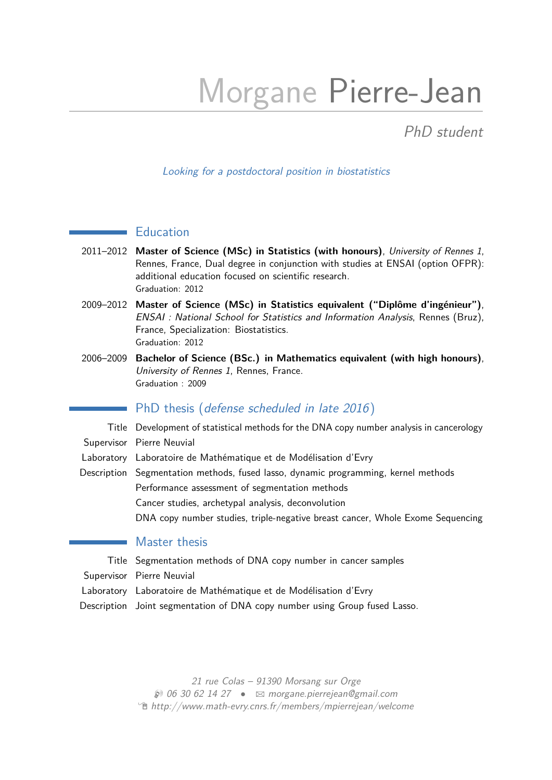# Morgane Pierre-Jean

PhD student

#### Looking for a postdoctoral position in biostatistics

# **Education**

- 2011–2012 **Master of Science (MSc) in Statistics (with honours)**, University of Rennes 1, Rennes, France, Dual degree in conjunction with studies at ENSAI (option OFPR): additional education focused on scientific research. Graduation: 2012
- 2009–2012 **Master of Science (MSc) in Statistics equivalent ("Diplôme d'ingénieur")**, ENSAI : National School for Statistics and Information Analysis, Rennes (Bruz), France, Specialization: Biostatistics. Graduation: 2012
- 2006–2009 **Bachelor of Science (BSc.) in Mathematics equivalent (with high honours)**, University of Rennes 1, Rennes, France. Graduation : 2009

#### PhD thesis (defense scheduled in late 2016)

Title Development of statistical methods for the DNA copy number analysis in cancerology Supervisor Pierre Neuvial Laboratory Laboratoire de Mathématique et de Modélisation d'Evry Description Segmentation methods, fused lasso, dynamic programming, kernel methods Performance assessment of segmentation methods Cancer studies, archetypal analysis, deconvolution DNA copy number studies, triple-negative breast cancer, Whole Exome Sequencing

## Master thesis

Title Segmentation methods of DNA copy number in cancer samples Supervisor Pierre Neuvial Laboratory Laboratoire de Mathématique et de Modélisation d'Evry Description Joint segmentation of DNA copy number using Group fused Lasso.

> 21 rue Colas – 91390 Morsang sur Orge  $\otimes$  06 30 62 14 27 •  $\boxtimes$  [morgane.pierrejean@gmail.com](mailto:morgane.pierrejean@gmail.com) Í [http://www.math-evry.cnrs.fr/members/mpierrejean/welcome](http://http://www.math-evry.cnrs.fr/members/mpierrejean/welcome)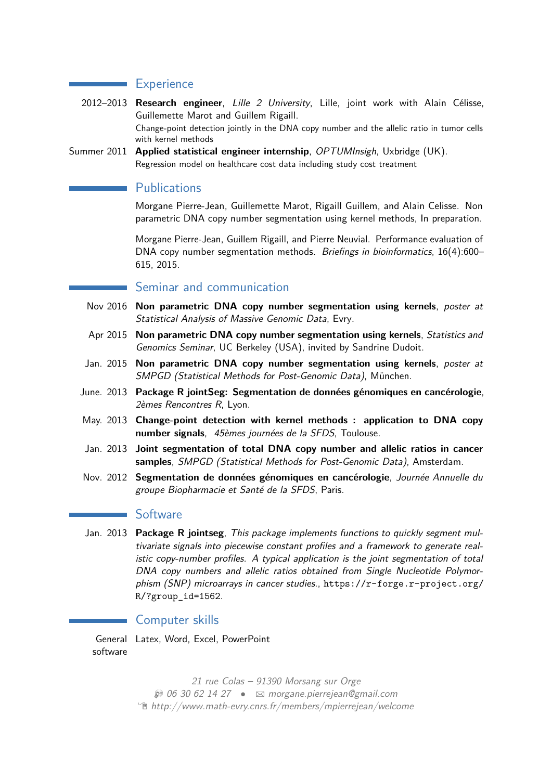#### **Experience**

 $\mathcal{L}^{\text{max}}_{\text{max}}$ 

- 2012–2013 **Research engineer**, Lille 2 University, Lille, joint work with Alain Célisse, Guillemette Marot and Guillem Rigaill. Change-point detection jointly in the DNA copy number and the allelic ratio in tumor cells with kernel methods
- Summer 2011 **Applied statistical engineer internship**, OPTUMInsigh, Uxbridge (UK). Regression model on healthcare cost data including study cost treatment

# **Publications**

Morgane Pierre-Jean, Guillemette Marot, Rigaill Guillem, and Alain Celisse. Non parametric DNA copy number segmentation using kernel methods, In preparation.

Morgane Pierre-Jean, Guillem Rigaill, and Pierre Neuvial. Performance evaluation of DNA copy number segmentation methods. Briefings in bioinformatics, 16(4):600– 615, 2015.

### Seminar and communication

- Nov 2016 **Non parametric DNA copy number segmentation using kernels**, poster at Statistical Analysis of Massive Genomic Data, Evry.
- Apr 2015 **Non parametric DNA copy number segmentation using kernels**, Statistics and Genomics Seminar, UC Berkeley (USA), invited by Sandrine Dudoit.
- Jan. 2015 **Non parametric DNA copy number segmentation using kernels**, poster at SMPGD (Statistical Methods for Post-Genomic Data), München.
- June. 2013 **Package R jointSeg: Segmentation de données génomiques en cancérologie**, 2èmes Rencontres R, Lyon.
- May. 2013 **Change-point detection with kernel methods : application to DNA copy number signals**, 45èmes journées de la SFDS, Toulouse.
- Jan. 2013 **Joint segmentation of total DNA copy number and allelic ratios in cancer samples**, SMPGD (Statistical Methods for Post-Genomic Data), Amsterdam.
- Nov. 2012 **Segmentation de données génomiques en cancérologie**, Journée Annuelle du groupe Biopharmacie et Santé de la SFDS, Paris.

#### **Software**

Jan. 2013 **Package R jointseg**, This package implements functions to quickly segment multivariate signals into piecewise constant profiles and a framework to generate realistic copy-number profiles. A typical application is the joint segmentation of total DNA copy numbers and allelic ratios obtained from Single Nucleotide Polymorphism (SNP) microarrays in cancer studies., [https://r-forge.r-project.org/](https://r-forge.r-project.org/R/?group_id=1562) [R/?group\\_id=1562](https://r-forge.r-project.org/R/?group_id=1562).

### Computer skills

General Latex, Word, Excel, PowerPoint software

> 21 rue Colas – 91390 Morsang sur Orge  $\otimes$  06 30 62 14 27 •  $\boxtimes$  [morgane.pierrejean@gmail.com](mailto:morgane.pierrejean@gmail.com) Í [http://www.math-evry.cnrs.fr/members/mpierrejean/welcome](http://http://www.math-evry.cnrs.fr/members/mpierrejean/welcome)